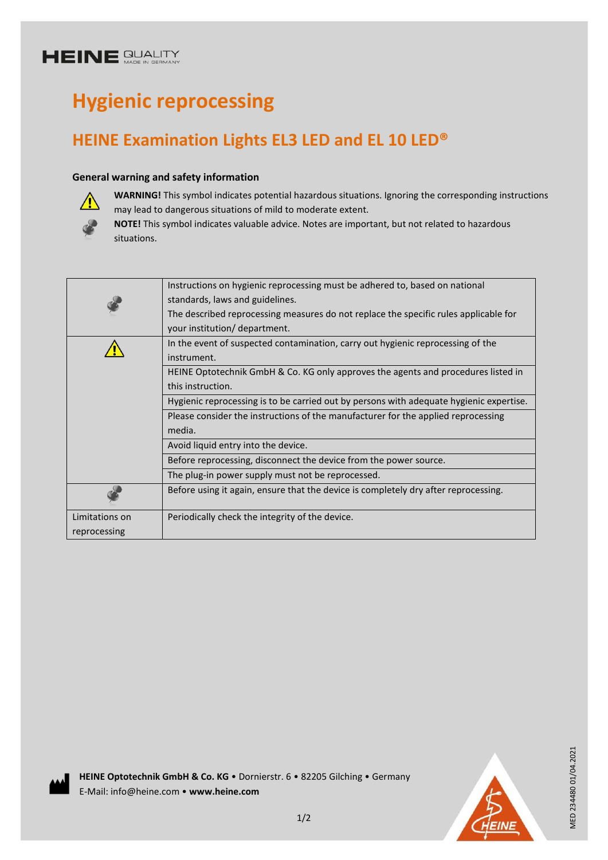# **HEINE SUALITY**

# **Hygienic reprocessing**

# **HEINE Examination Lights EL3 LED and EL 10 LED®**

### **General warning and safety information**



**WARNING!** This symbol indicates potential hazardous situations. Ignoring the corresponding instructions may lead to dangerous situations of mild to moderate extent.

**NOTE!** This symbol indicates valuable advice. Notes are important, but not related to hazardous situations.

|                | Instructions on hygienic reprocessing must be adhered to, based on national             |
|----------------|-----------------------------------------------------------------------------------------|
|                | standards, laws and guidelines.                                                         |
|                | The described reprocessing measures do not replace the specific rules applicable for    |
|                | your institution/ department.                                                           |
|                | In the event of suspected contamination, carry out hygienic reprocessing of the         |
|                | instrument.                                                                             |
|                | HEINE Optotechnik GmbH & Co. KG only approves the agents and procedures listed in       |
|                | this instruction.                                                                       |
|                | Hygienic reprocessing is to be carried out by persons with adequate hygienic expertise. |
|                | Please consider the instructions of the manufacturer for the applied reprocessing       |
|                | media.                                                                                  |
|                | Avoid liquid entry into the device.                                                     |
|                | Before reprocessing, disconnect the device from the power source.                       |
|                | The plug-in power supply must not be reprocessed.                                       |
|                | Before using it again, ensure that the device is completely dry after reprocessing.     |
| Limitations on | Periodically check the integrity of the device.                                         |
| reprocessing   |                                                                                         |